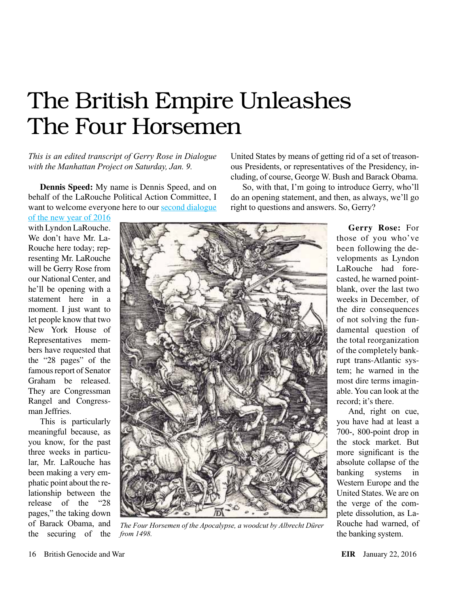## The British Empire Unleashes The Four Horsemen

*This is an edited transcript of Gerry Rose in Dialogue with the Manhattan Project on Saturday, Jan. 9.*

**Dennis Speed:** My name is Dennis Speed, and on behalf of the LaRouche Political Action Committee, I want to welcome everyone here to our second dialogue

[of the new year of 2016](https://larouchepac.com/20160110/january-9-2016-manhattan-town-hall-gerry-rose) 

with Lyndon LaRouche. We don't have Mr. La-Rouche here today; representing Mr. LaRouche will be Gerry Rose from our National Center, and he'll be opening with a statement here in a moment. I just want to let people know that two New York House of Representatives members have requested that the "28 pages" of the famous report of Senator Graham be released. They are Congressman Rangel and Congressman Jeffries.

This is particularly meaningful because, as you know, for the past three weeks in particular, Mr. LaRouche has been making a very emphatic point about the relationship between the release of the "28 pages," the taking down of Barack Obama, and the securing of the



*The Four Horsemen of the Apocalypse, a woodcut by Albrecht Dürer from 1498.*

United States by means of getting rid of a set of treasonous Presidents, or representatives of the Presidency, including, of course, George W. Bush and Barack Obama.

So, with that, I'm going to introduce Gerry, who'll do an opening statement, and then, as always, we'll go right to questions and answers. So, Gerry?

> **Gerry Rose:** For those of you who've been following the developments as Lyndon LaRouche had forecasted, he warned pointblank, over the last two weeks in December, of the dire consequences of not solving the fundamental question of the total reorganization of the completely bankrupt trans-Atlantic system; he warned in the most dire terms imaginable. You can look at the record; it's there.

And, right on cue, you have had at least a 700-, 800-point drop in the stock market. But more significant is the absolute collapse of the banking systems in Western Europe and the United States. We are on the verge of the complete dissolution, as La-Rouche had warned, of the banking system.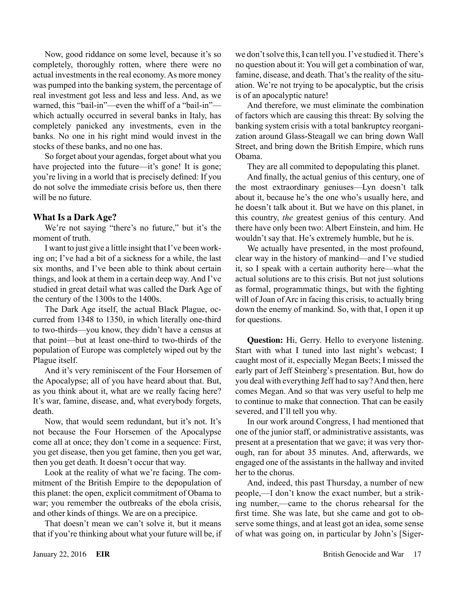Now, good riddance on some level, because it's so completely, thoroughly rotten, where there were no actual investments in the real economy. As more money was pumped into the banking system, the percentage of real investment got less and less and less. And, as we warned, this "bail-in"—even the whiff of a "bail-in" which actually occurred in several banks in Italy, has completely panicked any investments, even in the banks. No one in his right mind would invest in the stocks of these banks, and no one has.

So forget about your agendas, forget about what you have projected into the future—it's gone! It is gone; you're living in a world that is precisely defined: If you do not solve the immediate crisis before us, then there will be no future.

#### **What Is a Dark Age?**

We're not saying "there's no future," but it's the moment of truth.

I want to just give a little insight that I've been working on; I've had a bit of a sickness for a while, the last six months, and I've been able to think about certain things, and look at them in a certain deep way. And I've studied in great detail what was called the Dark Age of the century of the 1300s to the 1400s.

The Dark Age itself, the actual Black Plague, occurred from 1348 to 1350, in which literally one-third to two-thirds—you know, they didn't have a census at that point—but at least one-third to two-thirds of the population of Europe was completely wiped out by the Plague itself.

And it's very reminiscent of the Four Horsemen of the Apocalypse; all of you have heard about that. But, as you think about it, what are we really facing here? It's war, famine, disease, and, what everybody forgets, death.

Now, that would seem redundant, but it's not. It's not because the Four Horsemen of the Apocalypse come all at once; they don't come in a sequence: First, you get disease, then you get famine, then you get war, then you get death. It doesn't occur that way.

Look at the reality of what we're facing. The commitment of the British Empire to the depopulation of this planet: the open, explicit commitment of Obama to war; you remember the outbreaks of the ebola crisis, and other kinds of things. We are on a precipice.

That doesn't mean we can't solve it, but it means that if you're thinking about what your future will be, if we don't solve this, I can tell you. I've studied it. There's no question about it: You will get a combination of war, famine, disease, and death. That's the reality of the situation. We're not trying to be apocalyptic, but the crisis is of an apocalyptic nature!

And therefore, we must eliminate the combination of factors which are causing this threat: By solving the banking system crisis with a total bankruptcy reorganization around Glass-Steagall we can bring down Wall Street, and bring down the British Empire, which runs Obama.

They are all commited to depopulating this planet.

And finally, the actual genius of this century, one of the most extraordinary geniuses—Lyn doesn't talk about it, because he's the one who's usually here, and he doesn't talk about it. But we have on this planet, in this country, *the* greatest genius of this century. And there have only been two: Albert Einstein, and him. He wouldn't say that. He's extremely humble, but he is.

We actually have presented, in the most profound, clear way in the history of mankind—and I've studied it, so I speak with a certain authority here—what the actual solutions are to this crisis. But not just solutions as formal, programmatic things, but with the fighting will of Joan of Arc in facing this crisis, to actually bring down the enemy of mankind. So, with that, I open it up for questions.

**Question:** Hi, Gerry. Hello to everyone listening. Start with what I tuned into last night's webcast; I caught most of it, especially Megan Beets; I missed the early part of Jeff Steinberg's presentation. But, how do you deal with everything Jeff had to say? And then, here comes Megan. And so that was very useful to help me to continue to make that connection. That can be easily severed, and I'll tell you why.

In our work around Congress, I had mentioned that one of the junior staff, or administrative assistants, was present at a presentation that we gave; it was very thorough, ran for about 35 minutes. And, afterwards, we engaged one of the assistants in the hallway and invited her to the chorus.

And, indeed, this past Thursday, a number of new people,—I don't know the exact number, but a striking number,—came to the chorus rehearsal for the first time. She was late, but she came and got to observe some things, and at least got an idea, some sense of what was going on, in particular by John's [Siger-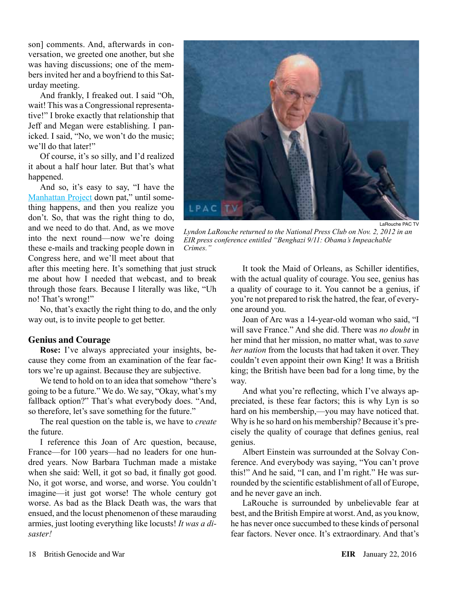son] comments. And, afterwards in conversation, we greeted one another, but she was having discussions; one of the members invited her and a boyfriend to this Saturday meeting.

And frankly, I freaked out. I said "Oh, wait! This was a Congressional representative!" I broke exactly that relationship that Jeff and Megan were establishing. I panicked. I said, "No, we won't do the music; we'll do that later!"

Of course, it's so silly, and I'd realized it about a half hour later. But that's what happened.

And so, it's easy to say, "I have the [Manhattan Project](http://larouchepub.com/other/2015/4248what_is_manhtn_project.html) down pat," until something happens, and then you realize you don't. So, that was the right thing to do, and we need to do that. And, as we move into the next round—now we're doing these e-mails and tracking people down in Congress here, and we'll meet about that

after this meeting here. It's something that just struck me about how I needed that webcast, and to break through those fears. Because I literally was like, "Uh no! That's wrong!"

No, that's exactly the right thing to do, and the only way out, is to invite people to get better.

#### **Genius and Courage**

**Rose:** I've always appreciated your insights, because they come from an examination of the fear factors we're up against. Because they are subjective.

We tend to hold on to an idea that somehow "there's going to be a future." We do. We say, "Okay, what's my fallback option?" That's what everybody does. "And, so therefore, let's save something for the future."

The real question on the table is, we have to *create* the future.

I reference this Joan of Arc question, because, France—for 100 years—had no leaders for one hundred years. Now Barbara Tuchman made a mistake when she said: Well, it got so bad, it finally got good. No, it got worse, and worse, and worse. You couldn't imagine—it just got worse! The whole century got worse. As bad as the Black Death was, the wars that ensued, and the locust phenomenon of these marauding armies, just looting everything like locusts! *It was a disaster!*



*Lyndon LaRouche returned to the National Press Club on Nov. 2, 2012 in an EIR press conference entitled "Benghazi 9/11: Obama's Impeachable Crimes."*

It took the Maid of Orleans, as Schiller identifies, with the actual quality of courage. You see, genius has a quality of courage to it. You cannot be a genius, if you're not prepared to risk the hatred, the fear, of everyone around you.

Joan of Arc was a 14-year-old woman who said, "I will save France." And she did. There was *no doubt* in her mind that her mission, no matter what, was to *save her nation* from the locusts that had taken it over. They couldn't even appoint their own King! It was a British king; the British have been bad for a long time, by the way.

And what you're reflecting, which I've always appreciated, is these fear factors; this is why Lyn is so hard on his membership,—you may have noticed that. Why is he so hard on his membership? Because it's precisely the quality of courage that defines genius, real genius.

Albert Einstein was surrounded at the Solvay Conference. And everybody was saying, "You can't prove this!" And he said, "I can, and I'm right." He was surrounded by the scientific establishment of all of Europe, and he never gave an inch.

LaRouche is surrounded by unbelievable fear at best, and the British Empire at worst. And, as you know, he has never once succumbed to these kinds of personal fear factors. Never once. It's extraordinary. And that's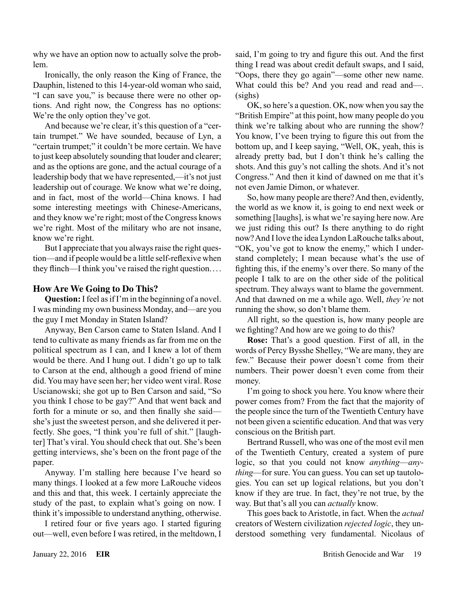why we have an option now to actually solve the problem.

Ironically, the only reason the King of France, the Dauphin, listened to this 14-year-old woman who said, "I can save you," is because there were no other options. And right now, the Congress has no options: We're the only option they've got.

And because we're clear, it's this question of a "certain trumpet." We have sounded, because of Lyn, a "certain trumpet;" it couldn't be more certain. We have to just keep absolutely sounding that louder and clearer; and as the options are gone, and the actual courage of a leadership body that we have represented,—it's not just leadership out of courage. We know what we're doing, and in fact, most of the world—China knows. I had some interesting meetings with Chinese-Americans, and they know we're right; most of the Congress knows we're right. Most of the military who are not insane, know we're right.

But I appreciate that you always raise the right question—and if people would be a little self-reflexive when they flinch—I think you've raised the right question....

### **How Are We Going to Do This?**

**Question:** I feel as if I'm in the beginning of a novel. I was minding my own business Monday, and—are you the guy I met Monday in Staten Island?

Anyway, Ben Carson came to Staten Island. And I tend to cultivate as many friends as far from me on the political spectrum as I can, and I knew a lot of them would be there. And I hung out. I didn't go up to talk to Carson at the end, although a good friend of mine did. You may have seen her; her video went viral. Rose Uscianowski; she got up to Ben Carson and said, "So you think I chose to be gay?" And that went back and forth for a minute or so, and then finally she said she's just the sweetest person, and she delivered it perfectly. She goes, "I think you're full of shit." [laughter] That's viral. You should check that out. She's been getting interviews, she's been on the front page of the paper.

Anyway. I'm stalling here because I've heard so many things. I looked at a few more LaRouche videos and this and that, this week. I certainly appreciate the study of the past, to explain what's going on now. I think it's impossible to understand anything, otherwise.

I retired four or five years ago. I started figuring out—well, even before I was retired, in the meltdown, I said, I'm going to try and figure this out. And the first thing I read was about credit default swaps, and I said, "Oops, there they go again"—some other new name. What could this be? And you read and read and-(sighs)

OK, so here's a question. OK, now when you say the "British Empire" at this point, how many people do you think we're talking about who are running the show? You know, I've been trying to figure this out from the bottom up, and I keep saying, "Well, OK, yeah, this is already pretty bad, but I don't think he's calling the shots. And this guy's not calling the shots. And it's not Congress." And then it kind of dawned on me that it's not even Jamie Dimon, or whatever.

So, how many people are there? And then, evidently, the world as we know it, is going to end next week or something [laughs], is what we're saying here now. Are we just riding this out? Is there anything to do right now? And I love the idea Lyndon LaRouche talks about, "OK, you've got to know the enemy," which I understand completely; I mean because what's the use of fighting this, if the enemy's over there. So many of the people I talk to are on the other side of the political spectrum. They always want to blame the government. And that dawned on me a while ago. Well, *they're* not running the show, so don't blame them.

All right, so the question is, how many people are we fighting? And how are we going to do this?

**Rose:** That's a good question. First of all, in the words of Percy Bysshe Shelley, "We are many, they are few." Because their power doesn't come from their numbers. Their power doesn't even come from their money.

I'm going to shock you here. You know where their power comes from? From the fact that the majority of the people since the turn of the Twentieth Century have not been given a scientific education. And that was very conscious on the British part.

Bertrand Russell, who was one of the most evil men of the Twentieth Century, created a system of pure logic, so that you could not know *anything*—*anything*—for sure. You can guess. You can set up tautologies. You can set up logical relations, but you don't know if they are true. In fact, they're not true, by the way. But that's all you can *actually* know.

This goes back to Aristotle, in fact. When the *actual* creators of Western civilization *rejected logic*, they understood something very fundamental. Nicolaus of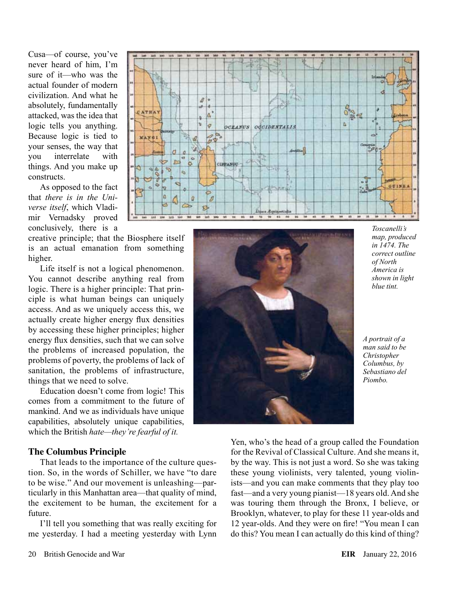Cusa—of course, you've never heard of him, I'm sure of it—who was the actual founder of modern civilization. And what he absolutely, fundamentally attacked, was the idea that logic tells you anything. Because logic is tied to your senses, the way that you interrelate with things. And you make up constructs.

As opposed to the fact that *there is in the Universe itself*, which Vladimir Vernadsky proved conclusively, there is a

creative principle; that the Biosphere itself is an actual emanation from something higher.

Life itself is not a logical phenomenon. You cannot describe anything real from logic. There is a higher principle: That principle is what human beings can uniquely access. And as we uniquely access this, we actually create higher energy flux densities by accessing these higher principles; higher energy flux densities, such that we can solve the problems of increased population, the problems of poverty, the problems of lack of sanitation, the problems of infrastructure, things that we need to solve.

Education doesn't come from logic! This comes from a commitment to the future of mankind. And we as individuals have unique capabilities, absolutely unique capabilities, which the British *hate—they're fearful of it.*

#### **The Columbus Principle**

That leads to the importance of the culture question. So, in the words of Schiller, we have "to dare to be wise." And our movement is unleashing—particularly in this Manhattan area—that quality of mind, the excitement to be human, the excitement for a future.

I'll tell you something that was really exciting for me yesterday. I had a meeting yesterday with Lynn





*Toscanelli's map, produced in 1474. The correct outline of North America is shown in light blue tint.*

*A portrait of a man said to be Christopher Columbus, by Sebastiano del Piombo.*

Yen, who's the head of a group called the Foundation for the Revival of Classical Culture. And she means it, by the way. This is not just a word. So she was taking these young violinists, very talented, young violinists—and you can make comments that they play too fast—and a very young pianist—18 years old. And she was touring them through the Bronx, I believe, or Brooklyn, whatever, to play for these 11 year-olds and 12 year-olds. And they were on fire! "You mean I can do this? You mean I can actually do this kind of thing?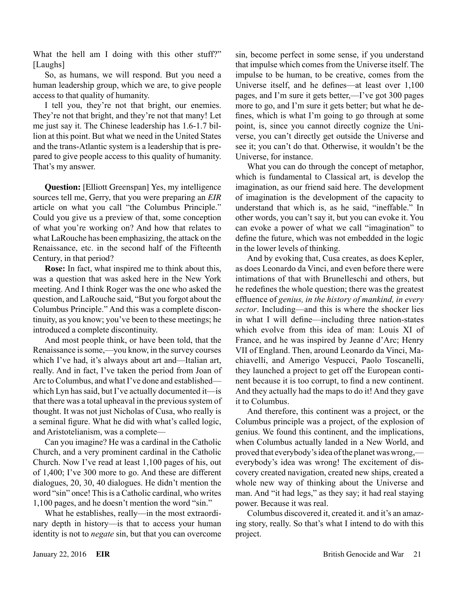What the hell am I doing with this other stuff?" [Laughs]

So, as humans, we will respond. But you need a human leadership group, which we are, to give people access to that quality of humanity.

I tell you, they're not that bright, our enemies. They're not that bright, and they're not that many! Let me just say it. The Chinese leadership has 1.6-1.7 billion at this point. But what we need in the United States and the trans-Atlantic system is a leadership that is prepared to give people access to this quality of humanity. That's my answer.

**Question:** [Elliott Greenspan] Yes, my intelligence sources tell me, Gerry, that you were preparing an *EIR* article on what you call "the Columbus Principle." Could you give us a preview of that, some conception of what you're working on? And how that relates to what LaRouche has been emphasizing, the attack on the Renaissance, etc. in the second half of the Fifteenth Century, in that period?

**Rose:** In fact, what inspired me to think about this, was a question that was asked here in the New York meeting. And I think Roger was the one who asked the question, and LaRouche said, "But you forgot about the Columbus Principle." And this was a complete discontinuity, as you know; you've been to these meetings; he introduced a complete discontinuity.

And most people think, or have been told, that the Renaissance is some,—you know, in the survey courses which I've had, it's always about art and—Italian art, really. And in fact, I've taken the period from Joan of Arc to Columbus, and what I've done and established which Lyn has said, but I've actually documented it—is that there was a total upheaval in the previous system of thought. It was not just Nicholas of Cusa, who really is a seminal figure. What he did with what's called logic, and Aristotelianism, was a complete—

Can you imagine? He was a cardinal in the Catholic Church, and a very prominent cardinal in the Catholic Church. Now I've read at least 1,100 pages of his, out of 1,400; I've 300 more to go. And these are different dialogues, 20, 30, 40 dialogues. He didn't mention the word "sin" once! This is a Catholic cardinal, who writes 1,100 pages, and he doesn't mention the word "sin."

What he establishes, really—in the most extraordinary depth in history—is that to access your human identity is not to *negate* sin, but that you can overcome sin, become perfect in some sense, if you understand that impulse which comes from the Universe itself. The impulse to be human, to be creative, comes from the Universe itself, and he defines—at least over 1,100 pages, and I'm sure it gets better,—I've got 300 pages more to go, and I'm sure it gets better; but what he defines, which is what I'm going to go through at some point, is, since you cannot directly cognize the Universe, you can't directly get outside the Universe and see it; you can't do that. Otherwise, it wouldn't be the Universe, for instance.

What you can do through the concept of metaphor, which is fundamental to Classical art, is develop the imagination, as our friend said here. The development of imagination is the development of the capacity to understand that which is, as he said, "ineffable." In other words, you can't say it, but you can evoke it. You can evoke a power of what we call "imagination" to define the future, which was not embedded in the logic in the lower levels of thinking.

And by evoking that, Cusa creates, as does Kepler, as does Leonardo da Vinci, and even before there were intimations of that with Brunelleschi and others, but he redefines the whole question; there was the greatest effluence of *genius, in the history of mankind, in every sector*. Including—and this is where the shocker lies in what I will define—including three nation-states which evolve from this idea of man: Louis XI of France, and he was inspired by Jeanne d'Arc; Henry VII of England. Then, around Leonardo da Vinci, Machiavelli, and Amerigo Vespucci, Paolo Toscanelli, they launched a project to get off the European continent because it is too corrupt, to find a new continent. And they actually had the maps to do it! And they gave it to Columbus.

And therefore, this continent was a project, or the Columbus principle was a project, of the explosion of genius. We found this continent, and the implications, when Columbus actually landed in a New World, and proved that everybody's idea of the planet was wrong, everybody's idea was wrong! The excitement of discovery created navigation, created new ships, created a whole new way of thinking about the Universe and man. And "it had legs," as they say; it had real staying power. Because it was real.

Columbus discovered it, created it. and it's an amazing story, really. So that's what I intend to do with this project.